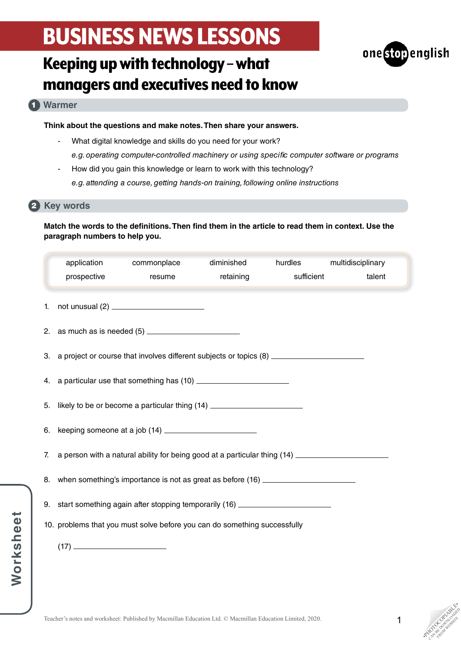

## Keeping up with technology – what managers and executives need to know

### **Warmer** 1

**Think about the questions and make notes. Then share your answers.**

- What digital knowledge and skills do you need for your work? *e.g. operating computer-controlled machinery or using specific computer software or programs*
- How did you gain this knowledge or learn to work with this technology? *e.g. attending a course, getting hands-on training, following online instructions*

### 2 Key words

### **Match the words to the definitions. Then find them in the article to read them in context. Use the paragraph numbers to help you.**

|    | application<br>prospective                                                                           | commonplace<br>resume | diminished<br>retaining | hurdles<br>sufficient | multidisciplinary<br>talent |  |
|----|------------------------------------------------------------------------------------------------------|-----------------------|-------------------------|-----------------------|-----------------------------|--|
| 1. |                                                                                                      |                       |                         |                       |                             |  |
|    |                                                                                                      |                       |                         |                       |                             |  |
|    | 3. a project or course that involves different subjects or topics (8) ______________________________ |                       |                         |                       |                             |  |
|    |                                                                                                      |                       |                         |                       |                             |  |
|    | 5. likely to be or become a particular thing (14) ______________________________                     |                       |                         |                       |                             |  |
|    | 6. keeping someone at a job (14) _______________________                                             |                       |                         |                       |                             |  |
| 7. | a person with a natural ability for being good at a particular thing (14) _________________________  |                       |                         |                       |                             |  |
|    | 8. when something's importance is not as great as before (16) __________________                     |                       |                         |                       |                             |  |
|    | 9. start something again after stopping temporarily (16) _______________________                     |                       |                         |                       |                             |  |
|    | 10. problems that you must solve before you can do something successfully                            |                       |                         |                       |                             |  |
|    |                                                                                                      |                       |                         |                       |                             |  |

**PHOTOGRAPHICATE** CAN BE DOWNLOAD FROM WEBSITE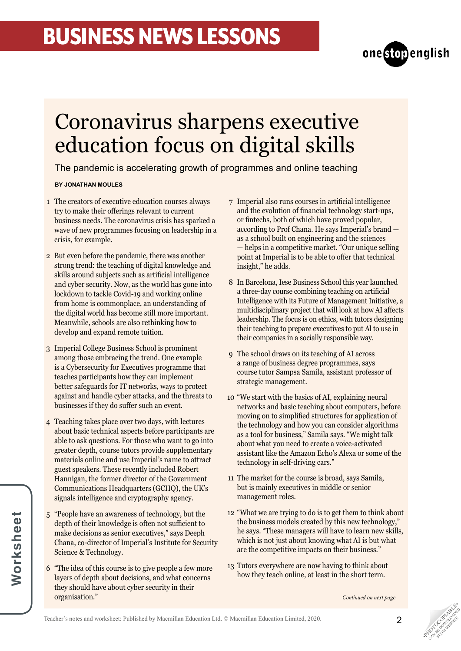

## Coronavirus sharpens executive education focus on digital skills

The pandemic is accelerating growth of programmes and online teaching

### **BY JONATHAN MOULES**

- The creators of executive education courses always 1 try to make their offerings relevant to current business needs. The coronavirus crisis has sparked a wave of new programmes focusing on leadership in a crisis, for example.
- 2 But even before the pandemic, there was another strong trend: the teaching of digital knowledge and skills around subjects such as artificial intelligence and cyber security. Now, as the world has gone into lockdown to tackle Covid-19 and working online from home is commonplace, an understanding of the digital world has become still more important. Meanwhile, schools are also rethinking how to develop and expand remote tuition.
- 3 Imperial College Business School is prominent among those embracing the trend. One example is a Cybersecurity for Executives programme that teaches participants how they can implement better safeguards for IT networks, ways to protect against and handle cyber attacks, and the threats to businesses if they do suffer such an event.
- Teaching takes place over two days, with lectures 4 about basic technical aspects before participants are able to ask questions. For those who want to go into greater depth, course tutors provide supplementary materials online and use Imperial's name to attract guest speakers. These recently included Robert Hannigan, the former director of the Government Communications Headquarters (GCHQ), the UK's signals intelligence and cryptography agency.
- "People have an awareness of technology, but the 5 depth of their knowledge is often not sufficient to make decisions as senior executives," says Deeph Chana, co-director of Imperial's Institute for Security Science & Technology.
- "The idea of this course is to give people a few more 6 layers of depth about decisions, and what concerns they should have about cyber security in their organisation."
- Imperial also runs courses in artificial intelligence 7 and the evolution of financial technology start-ups, or fintechs, both of which have proved popular, according to Prof Chana. He says Imperial's brand as a school built on engineering and the sciences — helps in a competitive market. "Our unique selling point at Imperial is to be able to offer that technical insight," he adds.
- 8 In Barcelona, Iese Business School this year launched a three-day course combining teaching on artificial Intelligence with its Future of Management Initiative, a multidisciplinary project that will look at how AI affects leadership. The focus is on ethics, with tutors designing their teaching to prepare executives to put Al to use in their companies in a socially responsible way.
- The school draws on its teaching of AI across 9 a range of business degree programmes, says course tutor Sampsa Samila, assistant professor of strategic management.
- "We start with the basics of AI, explaining neural 10 networks and basic teaching about computers, before moving on to simplified structures for application of the technology and how you can consider algorithms as a tool for business," Samila says. "We might talk about what you need to create a voice-activated assistant like the Amazon Echo's Alexa or some of the technology in self-driving cars."
- 11 The market for the course is broad, says Samila, but is mainly executives in middle or senior management roles.
- "What we are trying to do is to get them to think about 12 the business models created by this new technology," he says. "These managers will have to learn new skills, which is not just about knowing what AI is but what are the competitive impacts on their business."
- 13 Tutors everywhere are now having to think about how they teach online, at least in the short term.

*Continued on next page*



**PHOTOGRAPHICATE** CAN BE DOWNLOAD FROM WEBSITE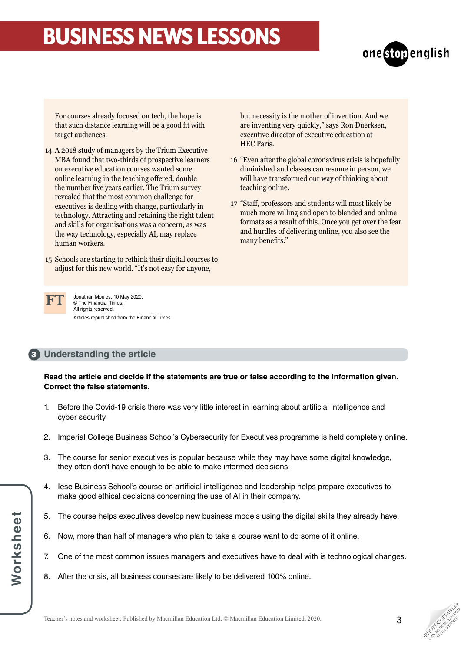

For courses already focused on tech, the hope is that such distance learning will be a good fit with target audiences.

- A 2018 study of managers by the Trium Executive 14 MBA found that two-thirds of prospective learners on executive education courses wanted some online learning in the teaching offered, double the number five years earlier. The Trium survey revealed that the most common challenge for executives is dealing with change, particularly in technology. Attracting and retaining the right talent and skills for organisations was a concern, as was the way technology, especially AI, may replace human workers.
- Schools are starting to rethink their digital courses to 15 adjust for this new world. "It's not easy for anyone,

but necessity is the mother of invention. And we are inventing very quickly," says Ron Duerksen, executive director of executive education at HEC Paris.

- "Even after the global coronavirus crisis is hopefully 16 diminished and classes can resume in person, we will have transformed our way of thinking about teaching online.
- "Staff, professors and students will most likely be 17 much more willing and open to blended and online formats as a result of this. Once you get over the fear and hurdles of delivering online, you also see the many benefits."



Jonathan Moules, 10 May 2020. © The Financial Times. All rights reserved. Articles republished from the Financial Times.

## **Understanding the article** 3

**Read the article and decide if the statements are true or false according to the information given. Correct the false statements.**

- 1. Before the Covid-19 crisis there was very little interest in learning about artificial intelligence and cyber security.
- 2. Imperial College Business School's Cybersecurity for Executives programme is held completely online.
- 3. The course for senior executives is popular because while they may have some digital knowledge, they often don't have enough to be able to make informed decisions.
- 4. Iese Business School's course on artificial intelligence and leadership helps prepare executives to make good ethical decisions concerning the use of AI in their company.
- 5. The course helps executives develop new business models using the digital skills they already have.
- 6. Now, more than half of managers who plan to take a course want to do some of it online.
- 7. One of the most common issues managers and executives have to deal with is technological changes.
- 8. After the crisis, all business courses are likely to be delivered 100% online.

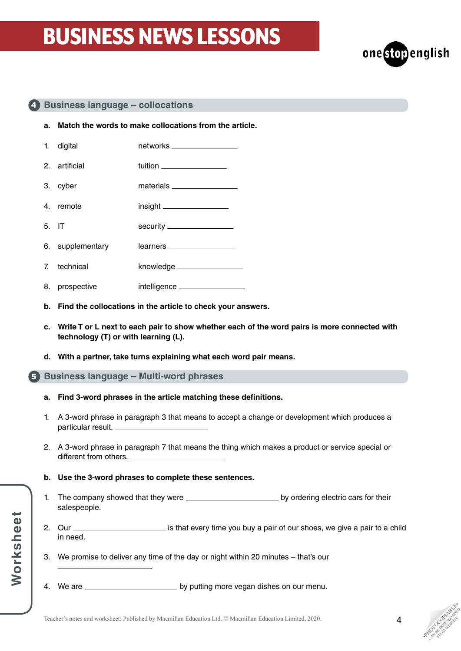

### **Business language – collocations** 4

- **a. Match the words to make collocations from the article.**
- 1. digital networks in the networks and the networks of the networks of the networks of the networks of the networks of the networks of the networks of the networks of the networks of the networks of the networks of the ne 2. artificial tuition
- 3. cyber materials
- 4. remote insight
- 5. IT security Security
- 6. supplementary learners
- 7. technical knowledge
- 8. prospective intelligence \_\_\_
- **b. Find the collocations in the article to check your answers.**
- **c. Write T or L next to each pair to show whether each of the word pairs is more connected with technology (T) or with learning (L).**
- **d. With a partner, take turns explaining what each word pair means.**

### **Business language – Multi-word phrases** 5

**Worksheet**

Worksheet

- **a. Find 3-word phrases in the article matching these definitions.**
- 1. A 3-word phrase in paragraph 3 that means to accept a change or development which produces a particular result.
- 2. A 3-word phrase in paragraph 7 that means the thing which makes a product or service special or different from others.
- **b. Use the 3-word phrases to complete these sentences.**

.

- 1. The company showed that they were by ordering electric cars for their salespeople.
- 2. Our <u>entill contained a pair of our shows</u>, we give a pair to a child in need.
- 3. We promise to deliver any time of the day or night within 20 minutes that's our
- 4. We are **contract to the sum of the system of the vegan dishes on our menu.**

**PHOTOGRAPHICATE** CAN BE DOWNLOAD FROM WEBSITE